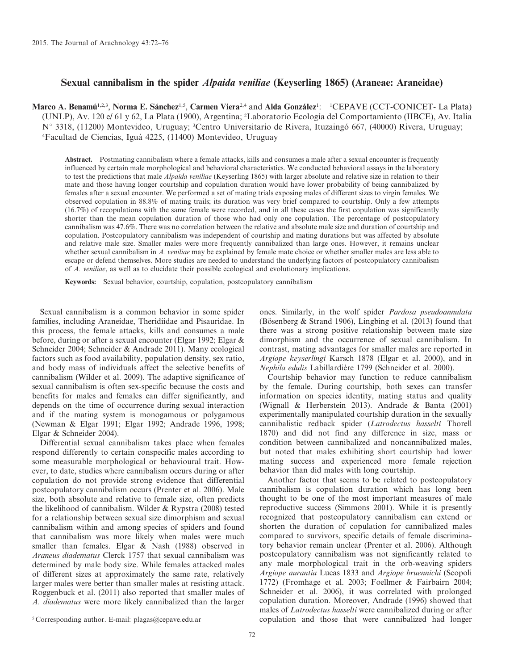# Sexual cannibalism in the spider Alpaida veniliae (Keyserling 1865) (Araneae: Araneidae)

Marco A. Benamú<sup>1,2,3</sup>, Norma E. Sánchez<sup>1,5</sup>, Carmen Viera<sup>2,4</sup> and Alda González<sup>1</sup>: <sup>1</sup>CEPAVE (CCT-CONICET- La Plata) (UNLP), Av. 120 e/ 61 y 62, La Plata (1900), Argentina; <sup>2</sup>Laboratorio Ecología del Comportamiento (IIBCE), Av. Italia N° 3318, (11200) Montevideo, Uruguay; <sup>3</sup>Centro Universitario de Rivera, Ituzaingó 667, (40000) Rivera, Uruguay; 4 Facultad de Ciencias, Igua´ 4225, (11400) Montevideo, Uruguay

Abstract. Postmating cannibalism where a female attacks, kills and consumes a male after a sexual encounter is frequently influenced by certain male morphological and behavioral characteristics. We conducted behavioral assays in the laboratory to test the predictions that male *Alpaida veniliae* (Keyserling 1865) with larger absolute and relative size in relation to their mate and those having longer courtship and copulation duration would have lower probability of being cannibalized by females after a sexual encounter. We performed a set of mating trials exposing males of different sizes to virgin females. We observed copulation in 88.8% of mating trails; its duration was very brief compared to courtship. Only a few attempts (16.7%) of recopulations with the same female were recorded, and in all these cases the first copulation was significantly shorter than the mean copulation duration of those who had only one copulation. The percentage of postcopulatory cannibalism was 47.6%. There was no correlation between the relative and absolute male size and duration of courtship and copulation. Postcopulatory cannibalism was independent of courtship and mating durations but was affected by absolute and relative male size. Smaller males were more frequently cannibalized than large ones. However, it remains unclear whether sexual cannibalism in A. veniliae may be explained by female mate choice or whether smaller males are less able to escape or defend themselves. More studies are needed to understand the underlying factors of postcopulatory cannibalism of A. veniliae, as well as to elucidate their possible ecological and evolutionary implications.

Keywords: Sexual behavior, courtship, copulation, postcopulatory cannibalism

Sexual cannibalism is a common behavior in some spider families, including Araneidae, Theridiidae and Pisauridae. In this process, the female attacks, kills and consumes a male before, during or after a sexual encounter (Elgar 1992; Elgar & Schneider 2004; Schneider & Andrade 2011). Many ecological factors such as food availability, population density, sex ratio, and body mass of individuals affect the selective benefits of cannibalism (Wilder et al. 2009). The adaptive significance of sexual cannibalism is often sex-specific because the costs and benefits for males and females can differ significantly, and depends on the time of occurrence during sexual interaction and if the mating system is monogamous or polygamous (Newman & Elgar 1991; Elgar 1992; Andrade 1996, 1998; Elgar & Schneider 2004).

Differential sexual cannibalism takes place when females respond differently to certain conspecific males according to some measurable morphological or behavioural trait. However, to date, studies where cannibalism occurs during or after copulation do not provide strong evidence that differential postcopulatory cannibalism occurs (Prenter et al. 2006). Male size, both absolute and relative to female size, often predicts the likelihood of cannibalism. Wilder & Rypstra (2008) tested for a relationship between sexual size dimorphism and sexual cannibalism within and among species of spiders and found that cannibalism was more likely when males were much smaller than females. Elgar & Nash (1988) observed in Araneus diadematus Clerck 1757 that sexual cannibalism was determined by male body size. While females attacked males of different sizes at approximately the same rate, relatively larger males were better than smaller males at resisting attack. Roggenbuck et al. (2011) also reported that smaller males of A. diadematus were more likely cannibalized than the larger

ones. Similarly, in the wolf spider Pardosa pseudoannulata (Bösenberg & Strand 1906), Lingbing et al. (2013) found that there was a strong positive relationship between mate size dimorphism and the occurrence of sexual cannibalism. In contrast, mating advantages for smaller males are reported in Argiope keyserlingi Karsch 1878 (Elgar et al. 2000), and in Nephila edulis Labillardière 1799 (Schneider et al. 2000).

Courtship behavior may function to reduce cannibalism by the female. During courtship, both sexes can transfer information on species identity, mating status and quality (Wignall & Herberstein 2013). Andrade & Banta (2001) experimentally manipulated courtship duration in the sexually cannibalistic redback spider (Latrodectus hasselti Thorell 1870) and did not find any difference in size, mass or condition between cannibalized and noncannibalized males, but noted that males exhibiting short courtship had lower mating success and experienced more female rejection behavior than did males with long courtship.

Another factor that seems to be related to postcopulatory cannibalism is copulation duration which has long been thought to be one of the most important measures of male reproductive success (Simmons 2001). While it is presently recognized that postcopulatory cannibalism can extend or shorten the duration of copulation for cannibalized males compared to survivors, specific details of female discriminatory behavior remain unclear (Prenter et al. 2006). Although postcopulatory cannibalism was not significantly related to any male morphological trait in the orb-weaving spiders Argiope aurantia Lucas 1833 and Argiope bruennichi (Scopoli 1772) (Fromhage et al. 2003; Foellmer & Fairbairn 2004; Schneider et al. 2006), it was correlated with prolonged copulation duration. Moreover, Andrade (1996) showed that males of Latrodectus hasselti were cannibalized during or after <sup>5</sup> Corresponding author. E-mail: plagas@cepave.edu.ar **5 Corresponding author.** E-mail: plagas@cepave.edu.ar **5** Corresponding author. E-mail: plagas@cepave.edu.ar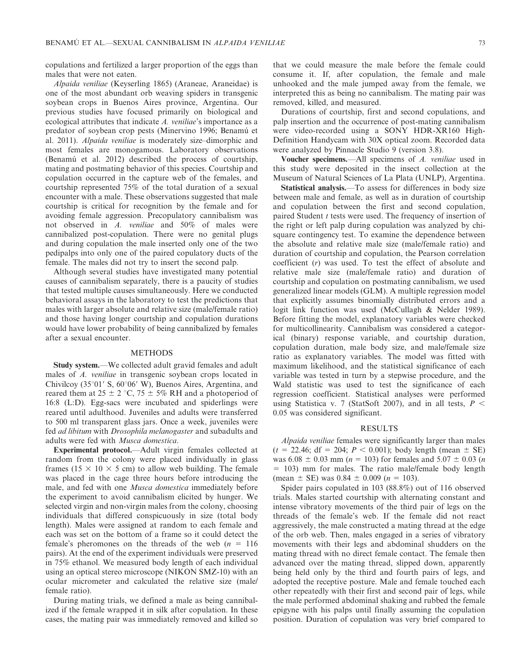copulations and fertilized a larger proportion of the eggs than males that were not eaten.

Alpaida veniliae (Keyserling 1865) (Araneae, Araneidae) is one of the most abundant orb weaving spiders in transgenic soybean crops in Buenos Aires province, Argentina. Our previous studies have focused primarily on biological and ecological attributes that indicate A. veniliae's importance as a predator of soybean crop pests (Minervino 1996; Benamú et al. 2011). Alpaida veniliae is moderately size–dimorphic and most females are monogamous. Laboratory observations (Benamú et al. 2012) described the process of courtship, mating and postmating behavior of this species. Courtship and copulation occurred in the capture web of the females, and courtship represented 75% of the total duration of a sexual encounter with a male. These observations suggested that male courtship is critical for recognition by the female and for avoiding female aggression. Precopulatory cannibalism was not observed in A. veniliae and 50% of males were cannibalized post-copulation. There were no genital plugs and during copulation the male inserted only one of the two pedipalps into only one of the paired copulatory ducts of the female. The males did not try to insert the second palp.

Although several studies have investigated many potential causes of cannibalism separately, there is a paucity of studies that tested multiple causes simultaneously. Here we conducted behavioral assays in the laboratory to test the predictions that males with larger absolute and relative size (male/female ratio) and those having longer courtship and copulation durations would have lower probability of being cannibalized by females after a sexual encounter.

#### METHODS

Study system.—We collected adult gravid females and adult males of A. veniliae in transgenic soybean crops located in Chivilcoy (35 $\degree$ 01' S, 60 $\degree$ 06' W), Buenos Aires, Argentina, and reared them at  $25 \pm 2$  °C,  $75 \pm 5\%$  RH and a photoperiod of 16:8 (L:D). Egg-sacs were incubated and spiderlings were reared until adulthood. Juveniles and adults were transferred to 500 ml transparent glass jars. Once a week, juveniles were fed ad libitum with Drosophila melanogaster and subadults and adults were fed with Musca domestica.

Experimental protocol.—Adult virgin females collected at random from the colony were placed individually in glass frames (15  $\times$  10  $\times$  5 cm) to allow web building. The female was placed in the cage three hours before introducing the male, and fed with one Musca domestica immediately before the experiment to avoid cannibalism elicited by hunger. We selected virgin and non-virgin males from the colony, choosing individuals that differed conspicuously in size (total body length). Males were assigned at random to each female and each was set on the bottom of a frame so it could detect the female's pheromones on the threads of the web  $(n = 116$ pairs). At the end of the experiment individuals were preserved in 75% ethanol. We measured body length of each individual using an optical stereo microscope (NIKON SMZ-10) with an ocular micrometer and calculated the relative size (male/ female ratio).

During mating trials, we defined a male as being cannibalized if the female wrapped it in silk after copulation. In these cases, the mating pair was immediately removed and killed so that we could measure the male before the female could consume it. If, after copulation, the female and male unhooked and the male jumped away from the female, we interpreted this as being no cannibalism. The mating pair was removed, killed, and measured.

Durations of courtship, first and second copulations, and palp insertion and the occurrence of post-mating cannibalism were video-recorded using a SONY HDR-XR160 High-Definition Handycam with 30X optical zoom. Recorded data were analyzed by Pinnacle Studio 9 (version 3.8).

Voucher specimens.—All specimens of A. veniliae used in this study were deposited in the insect collection at the Museum of Natural Sciences of La Plata (UNLP), Argentina.

Statistical analysis.—To assess for differences in body size between male and female, as well as in duration of courtship and copulation between the first and second copulation, paired Student  $t$  tests were used. The frequency of insertion of the right or left palp during copulation was analyzed by chisquare contingency test. To examine the dependence between the absolute and relative male size (male/female ratio) and duration of courtship and copulation, the Pearson correlation coefficient (r) was used. To test the effect of absolute and relative male size (male/female ratio) and duration of courtship and copulation on postmating cannibalism, we used generalized linear models (GLM). A multiple regression model that explicitly assumes binomially distributed errors and a logit link function was used (McCullagh & Nelder 1989). Before fitting the model, explanatory variables were checked for multicollinearity. Cannibalism was considered a categorical (binary) response variable, and courtship duration, copulation duration, male body size, and male/female size ratio as explanatory variables. The model was fitted with maximum likelihood, and the statistical significance of each variable was tested in turn by a stepwise procedure, and the Wald statistic was used to test the significance of each regression coefficient. Statistical analyses were performed using Statistica v. 7 (StatSoft 2007), and in all tests,  $P \n\leq$ 0.05 was considered significant.

### RESULTS

Alpaida veniliae females were significantly larger than males  $(t = 22.46; df = 204; P < 0.001)$ ; body length (mean  $\pm$  SE) was 6.08  $\pm$  0.03 mm (n = 103) for females and 5.07  $\pm$  0.03 (n  $= 103$ ) mm for males. The ratio male/female body length (mean  $\pm$  SE) was 0.84  $\pm$  0.009 (n = 103).

Spider pairs copulated in 103 (88.8%) out of 116 observed trials. Males started courtship with alternating constant and intense vibratory movements of the third pair of legs on the threads of the female's web. If the female did not react aggressively, the male constructed a mating thread at the edge of the orb web. Then, males engaged in a series of vibratory movements with their legs and abdominal shudders on the mating thread with no direct female contact. The female then advanced over the mating thread, slipped down, apparently being held only by the third and fourth pairs of legs, and adopted the receptive posture. Male and female touched each other repeatedly with their first and second pair of legs, while the male performed abdominal shaking and rubbed the female epigyne with his palps until finally assuming the copulation position. Duration of copulation was very brief compared to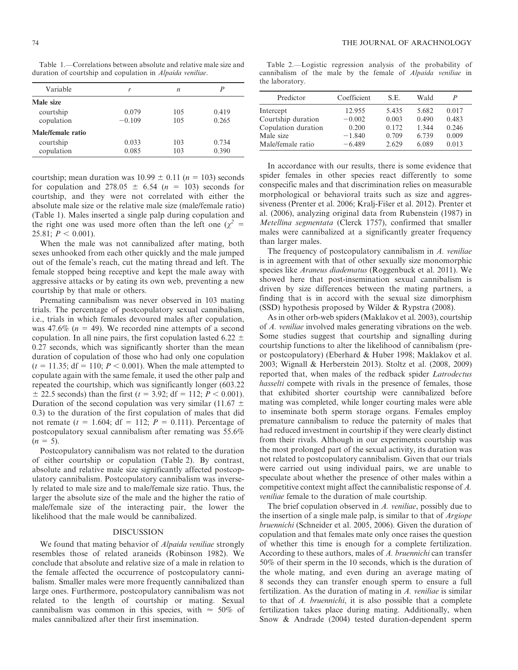Table 1.—Correlations between absolute and relative male size and duration of courtship and copulation in Alpaida veniliae.

| Variable          | r        | n   |       |
|-------------------|----------|-----|-------|
| Male size         |          |     |       |
| courtship         | 0.079    | 105 | 0.419 |
| copulation        | $-0.109$ | 105 | 0.265 |
| Male/female ratio |          |     |       |
| courtship         | 0.033    | 103 | 0.734 |
| copulation        | 0.085    | 103 | 0.390 |

courtship; mean duration was  $10.99 \pm 0.11$  ( $n = 103$ ) seconds for copulation and  $278.05 \pm 6.54$  (n = 103) seconds for courtship, and they were not correlated with either the absolute male size or the relative male size (male/female ratio) (Table 1). Males inserted a single palp during copulation and the right one was used more often than the left one ( $\chi^2$  = 25.81;  $P < 0.001$ ).

When the male was not cannibalized after mating, both sexes unhooked from each other quickly and the male jumped out of the female's reach, cut the mating thread and left. The female stopped being receptive and kept the male away with aggressive attacks or by eating its own web, preventing a new courtship by that male or others.

Premating cannibalism was never observed in 103 mating trials. The percentage of postcopulatory sexual cannibalism, i.e., trials in which females devoured males after copulation, was 47.6% ( $n = 49$ ). We recorded nine attempts of a second copulation. In all nine pairs, the first copulation lasted 6.22  $\pm$ 0.27 seconds, which was significantly shorter than the mean duration of copulation of those who had only one copulation  $(t = 11.35; df = 110; P < 0.001)$ . When the male attempted to copulate again with the same female, it used the other palp and repeated the courtship, which was significantly longer (603.22  $\pm$  22.5 seconds) than the first (t = 3.92; df = 112; P < 0.001). Duration of the second copulation was very similar (11.67  $\pm$ 0.3) to the duration of the first copulation of males that did not remate ( $t = 1.604$ ; df = 112;  $P = 0.111$ ). Percentage of postcopulatory sexual cannibalism after remating was 55.6%  $(n = 5)$ .

Postcopulatory cannibalism was not related to the duration of either courtship or copulation (Table 2). By contrast, absolute and relative male size significantly affected postcopulatory cannibalism. Postcopulatory cannibalism was inversely related to male size and to male/female size ratio. Thus, the larger the absolute size of the male and the higher the ratio of male/female size of the interacting pair, the lower the likelihood that the male would be cannibalized.

### DISCUSSION

We found that mating behavior of *Alpaida veniliae* strongly resembles those of related araneids (Robinson 1982). We conclude that absolute and relative size of a male in relation to the female affected the occurrence of postcopulatory cannibalism. Smaller males were more frequently cannibalized than large ones. Furthermore, postcopulatory cannibalism was not related to the length of courtship or mating. Sexual cannibalism was common in this species, with  $\approx 50\%$  of males cannibalized after their first insemination.

Table 2.—Logistic regression analysis of the probability of cannibalism of the male by the female of Alpaida veniliae in the laboratory.

| Predictor           | Coefficient | S.E.  | Wald  |       |  |
|---------------------|-------------|-------|-------|-------|--|
| Intercept           | 12.955      | 5.435 | 5.682 | 0.017 |  |
| Courtship duration  | $-0.002$    | 0.003 | 0.490 | 0.483 |  |
| Copulation duration | 0.200       | 0.172 | 1.344 | 0.246 |  |
| Male size           | $-1.840$    | 0.709 | 6.739 | 0.009 |  |
| Male/female ratio   | $-6.489$    | 2.629 | 6.089 | 0.013 |  |
|                     |             |       |       |       |  |

In accordance with our results, there is some evidence that spider females in other species react differently to some conspecific males and that discrimination relies on measurable morphological or behavioral traits such as size and aggressiveness (Prenter et al. 2006; Kralj-Fišer et al. 2012). Prenter et al. (2006), analyzing original data from Rubenstein (1987) in Metellina segmentata (Clerck 1757), confirmed that smaller males were cannibalized at a significantly greater frequency than larger males.

The frequency of postcopulatory cannibalism in A. veniliae is in agreement with that of other sexually size monomorphic species like Araneus diadematus (Roggenbuck et al. 2011). We showed here that post-insemination sexual cannibalism is driven by size differences between the mating partners, a finding that is in accord with the sexual size dimorphism (SSD) hypothesis proposed by Wilder & Rypstra (2008).

As in other orb-web spiders (Maklakov et al. 2003), courtship of A. veniliae involved males generating vibrations on the web. Some studies suggest that courtship and signalling during courtship functions to alter the likelihood of cannibalism (preor postcopulatory) (Eberhard & Huber 1998; Maklakov et al. 2003; Wignall & Herberstein 2013). Stoltz et al. (2008, 2009) reported that, when males of the redback spider Latrodectus hasselti compete with rivals in the presence of females, those that exhibited shorter courtship were cannibalized before mating was completed, while longer courting males were able to inseminate both sperm storage organs. Females employ premature cannibalism to reduce the paternity of males that had reduced investment in courtship if they were clearly distinct from their rivals. Although in our experiments courtship was the most prolonged part of the sexual activity, its duration was not related to postcopulatory cannibalism. Given that our trials were carried out using individual pairs, we are unable to speculate about whether the presence of other males within a competitive context might affect the cannibalistic response of A. veniliae female to the duration of male courtship.

The brief copulation observed in A. veniliae, possibly due to the insertion of a single male palp, is similar to that of Argiope bruennichi (Schneider et al. 2005, 2006). Given the duration of copulation and that females mate only once raises the question of whether this time is enough for a complete fertilization. According to these authors, males of A. bruennichi can transfer 50% of their sperm in the 10 seconds, which is the duration of the whole mating, and even during an average mating of 8 seconds they can transfer enough sperm to ensure a full fertilization. As the duration of mating in A. veniliae is similar to that of A. bruennichi, it is also possible that a complete fertilization takes place during mating. Additionally, when Snow & Andrade (2004) tested duration-dependent sperm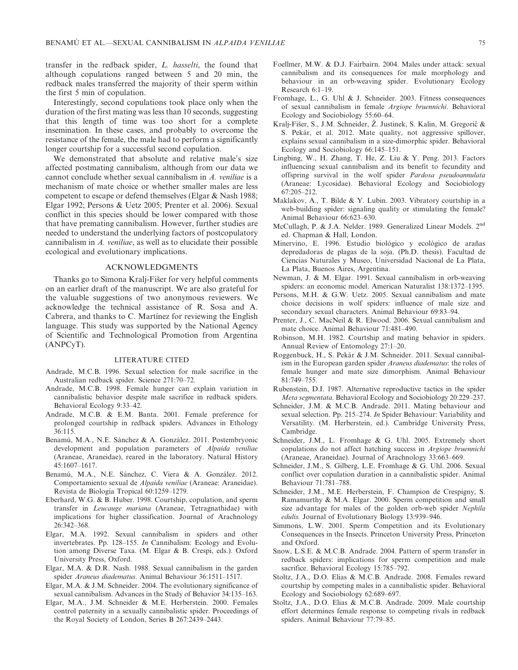transfer in the redback spider, L. hasselti, the found that although copulations ranged between 5 and 20 min, the redback males transferred the majority of their sperm within the first 5 min of copulation.

Interestingly, second copulations took place only when the duration of the first mating was less than 10 seconds, suggesting that this length of time was too short for a complete insemination. In these cases, and probably to overcome the resistance of the female, the male had to perform a significantly longer courtship for a successful second copulation.

We demonstrated that absolute and relative male's size affected postmating cannibalism, although from our data we cannot conclude whether sexual cannibalism in A. veniliae is a mechanism of mate choice or whether smaller males are less competent to escape or defend themselves (Elgar & Nash 1988; Elgar 1992; Persons & Uetz 2005; Prenter et al. 2006). Sexual conflict in this species should be lower compared with those that have premating cannibalism. However, further studies are needed to understand the underlying factors of postcopulatory cannibalism in A. veniliae, as well as to elucidate their possible ecological and evolutionary implications.

## ACKNOWLEDGMENTS

Thanks go to Simona Kralj-Fišer for very helpful comments on an earlier draft of the manuscript. We are also grateful for the valuable suggestions of two anonymous reviewers. We acknowledge the technical assistance of R. Sosa and A. Cabrera, and thanks to C. Martinez for reviewing the English language. This study was supported by the National Agency of Scientific and Technological Promotion from Argentina (ANPCyT).

#### LITERATURE CITED

- Andrade, M.C.B. 1996. Sexual selection for male sacrifice in the Australian redback spider. Science 271:70–72.
- Andrade, M.C.B. 1998. Female hunger can explain variation in cannibalistic behavior despite male sacrifice in redback spiders. Behavioral Ecology 9:33–42.
- Andrade, M.C.B. & E.M. Banta. 2001. Female preference for prolonged courtship in redback spiders. Advances in Ethology 36:115.
- Benamú, M.A., N.E. Sánchez & A. González. 2011. Postembryonic development and population parameters of Alpaida veniliae (Araneae, Araneidae), reared in the laboratory. Natural History 45:1607–1617.
- Benamú, M.A., N.E. Sánchez, C. Viera & A. González. 2012. Comportamiento sexual de Alpaida veniliae (Araneae: Araneidae). Revista de Biología Tropical 60:1259–1279.
- Eberhard, W.G. & B. Huber. 1998. Courtship, copulation, and sperm transfer in Leucauge mariana (Araneae, Tetragnathidae) with implications for higher classification. Journal of Arachnology 26:342–368.
- Elgar, M.A. 1992. Sexual cannibalism in spiders and other invertebrates. Pp. 128–155. In Cannibalism: Ecology and Evolution among Diverse Taxa. (M. Elgar & B. Crespi, eds.). Oxford University Press, Oxford.
- Elgar, M.A. & D.R. Nash. 1988. Sexual cannibalism in the garden spider Araneus diadematus. Animal Behaviour 36:1511–1517.
- Elgar, M.A. & J.M. Schneider. 2004. The evolutionary significance of sexual cannibalism. Advances in the Study of Behavior 34:135–163.
- Elgar, M.A., J.M. Schneider & M.E. Herberstein. 2000. Females control paternity in a sexually cannibalistic spider. Proceedings of the Royal Society of London, Series B 267:2439–2443.
- Foellmer, M.W. & D.J. Fairbairn. 2004. Males under attack: sexual cannibalism and its consequences for male morphology and behaviour in an orb-weaving spider. Evolutionary Ecology Research 6:1–19.
- Fromhage, L., G. Uhl & J. Schneider. 2003. Fitness consequences of sexual cannibalism in female Argiope bruennichi. Behavioral Ecology and Sociobiology 55:60–64.
- Kralj-Fišer, S., J.M. Schneider, Ž. Justinek, S. Kalin, M. Gregorič & S. Pekár, et al. 2012. Mate quality, not aggressive spillover, explains sexual cannibalism in a size-dimorphic spider. Behavioral Ecology and Sociobiology 66:145–151.
- Lingbing, W., H. Zhang, T. He, Z. Liu & Y. Peng. 2013. Factors influencing sexual cannibalism and its benefit to fecundity and offspring survival in the wolf spider Pardosa pseudoannulata (Araneae: Lycosidae). Behavioral Ecology and Sociobiology 67:205–212.
- Maklakov, A., T. Bilde & Y. Lubin. 2003. Vibratory courtship in a web-building spider: signaling quality or stimulating the female? Animal Behaviour 66:623–630.
- McCullagh, P. & J.A. Nelder. 1989. Generalized Linear Models. 2nd ed. Chapman & Hall, London.
- Minervino, E. 1996. Estudio biológico y ecológico de arañas depredadoras de plagas de la soja. (Ph.D. thesis). Facultad de Ciencias Naturales y Museo, Universidad Nacional de La Plata, La Plata, Buenos Aires, Argentina.
- Newman, J. & M. Elgar. 1991. Sexual cannibalism in orb-weaving spiders: an economic model. American Naturalist 138:1372–1395.
- Persons, M.H. & G.W. Uetz. 2005. Sexual cannibalism and mate choice decisions in wolf spiders: influence of male size and secondary sexual characters. Animal Behaviour 69:83–94.
- Prenter, J., C. MacNeil & R. Elwood. 2006. Sexual cannibalism and mate choice. Animal Behaviour 71:481–490.
- Robinson, M.H. 1982. Courtship and mating behavior in spiders. Annual Review of Entomology 27:1–20.
- Roggenbuck, H., S. Pekár & J.M. Schneider. 2011. Sexual cannibalism in the European garden spider Araneus diadematus: the roles of female hunger and mate size dimorphism. Animal Behaviour 81:749–755.
- Rubenstein, D.I. 1987. Alternative reproductive tactics in the spider Meta segmentata. Behavioral Ecology and Sociobiology 20:229–237.
- Schneider, J.M. & M.C.B. Andrade. 2011. Mating behaviour and sexual selection. Pp. 215–274. In Spider Behaviour: Variability and Versatility. (M. Herberstein, ed.). Cambridge University Press, Cambridge.
- Schneider, J.M., L. Fromhage & G. Uhl. 2005. Extremely short copulations do not affect hatching success in Argiope bruennichi (Araneae, Araneidae). Journal of Arachnology 33:663–669.
- Schneider, J.M., S. Gilberg, L.E. Fromhage & G. Uhl. 2006. Sexual conflict over copulation duration in a cannibalistic spider. Animal Behaviour 71:781–788.
- Schneider, J.M., M.E. Herberstein, F. Champion de Crespigny, S. Ramamurthy & M.A. Elgar. 2000. Sperm competition and small size advantage for males of the golden orb-web spider Nephila edulis. Journal of Evolutionary Biology 13:939–946.
- Simmons, L.W. 2001. Sperm Competition and its Evolutionary Consequences in the Insects. Princeton University Press, Princeton and Oxford.
- Snow, L.S.E. & M.C.B. Andrade. 2004. Pattern of sperm transfer in redback spiders: implications for sperm competition and male sacrifice. Behavioral Ecology 15:785–792.
- Stoltz, J.A., D.O. Elias & M.C.B. Andrade. 2008. Females reward courtship by competing males in a cannibalistic spider. Behavioral Ecology and Sociobiology 62:689–697.
- Stoltz, J.A., D.O. Elias & M.C.B. Andrade. 2009. Male courtship effort determines female response to competing rivals in redback spiders. Animal Behaviour 77:79–85.